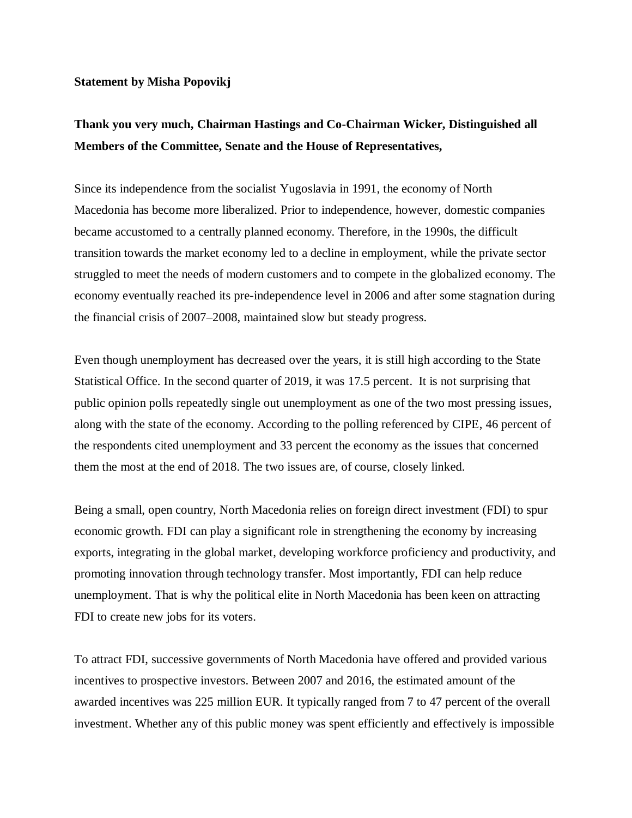## **Statement by Misha Popovikj**

## **Thank you very much, Chairman Hastings and Co-Chairman Wicker, Distinguished all Members of the Committee, Senate and the House of Representatives,**

Since its independence from the socialist Yugoslavia in 1991, the economy of North Macedonia has become more liberalized. Prior to independence, however, domestic companies became accustomed to a centrally planned economy. Therefore, in the 1990s, the difficult transition towards the market economy led to a decline in employment, while the private sector struggled to meet the needs of modern customers and to compete in the globalized economy. The economy eventually reached its pre-independence level in 2006 and after some stagnation during the financial crisis of 2007–2008, maintained slow but steady progress.

Even though unemployment has decreased over the years, it is still high according to the State Statistical Office. In the second quarter of 2019, it was 17.5 percent. It is not surprising that public opinion polls repeatedly single out unemployment as one of the two most pressing issues, along with the state of the economy. According to the polling referenced by CIPE, 46 percent of the respondents cited unemployment and 33 percent the economy as the issues that concerned them the most at the end of 2018. The two issues are, of course, closely linked.

Being a small, open country, North Macedonia relies on foreign direct investment (FDI) to spur economic growth. FDI can play a significant role in strengthening the economy by increasing exports, integrating in the global market, developing workforce proficiency and productivity, and promoting innovation through technology transfer. Most importantly, FDI can help reduce unemployment. That is why the political elite in North Macedonia has been keen on attracting FDI to create new jobs for its voters.

To attract FDI, successive governments of North Macedonia have offered and provided various incentives to prospective investors. Between 2007 and 2016, the estimated amount of the awarded incentives was 225 million EUR. It typically ranged from 7 to 47 percent of the overall investment. Whether any of this public money was spent efficiently and effectively is impossible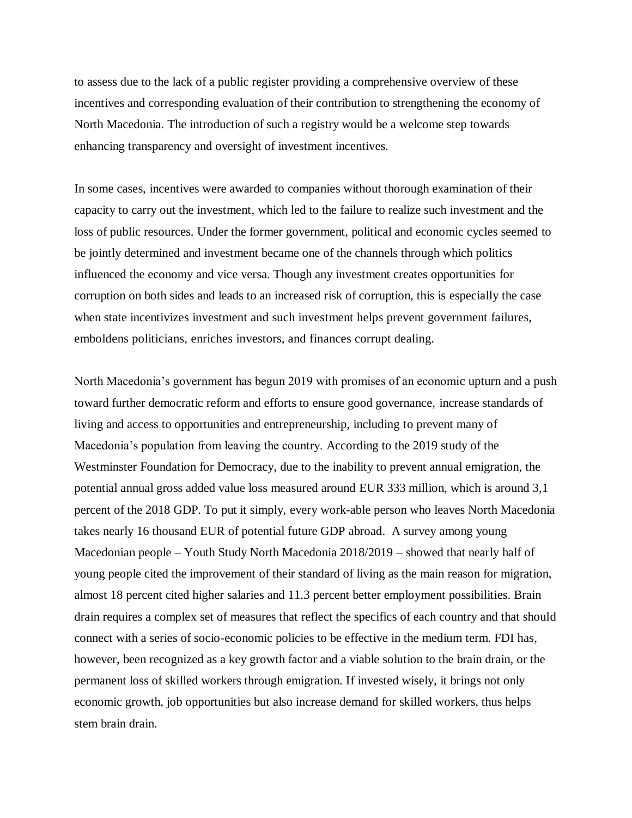to assess due to the lack of a public register providing a comprehensive overview of these incentives and corresponding evaluation of their contribution to strengthening the economy of North Macedonia. The introduction of such a registry would be a welcome step towards enhancing transparency and oversight of investment incentives.

In some cases, incentives were awarded to companies without thorough examination of their capacity to carry out the investment, which led to the failure to realize such investment and the loss of public resources. Under the former government, political and economic cycles seemed to be jointly determined and investment became one of the channels through which politics influenced the economy and vice versa. Though any investment creates opportunities for corruption on both sides and leads to an increased risk of corruption, this is especially the case when state incentivizes investment and such investment helps prevent government failures, emboldens politicians, enriches investors, and finances corrupt dealing.

North Macedonia's government has begun 2019 with promises of an economic upturn and a push toward further democratic reform and efforts to ensure good governance, increase standards of living and access to opportunities and entrepreneurship, including to prevent many of Macedonia's population from leaving the country. According to the 2019 study of the Westminster Foundation for Democracy, due to the inability to prevent annual emigration, the potential annual gross added value loss measured around EUR 333 million, which is around 3,1 percent of the 2018 GDP. To put it simply, every work-able person who leaves North Macedonia takes nearly 16 thousand EUR of potential future GDP abroad. A survey among young Macedonian people – Youth Study North Macedonia 2018/2019 – showed that nearly half of young people cited the improvement of their standard of living as the main reason for migration, almost 18 percent cited higher salaries and 11.3 percent better employment possibilities. Brain drain requires a complex set of measures that reflect the specifics of each country and that should connect with a series of socio-economic policies to be effective in the medium term. FDI has, however, been recognized as a key growth factor and a viable solution to the brain drain, or the permanent loss of skilled workers through emigration. If invested wisely, it brings not only economic growth, job opportunities but also increase demand for skilled workers, thus helps stem brain drain.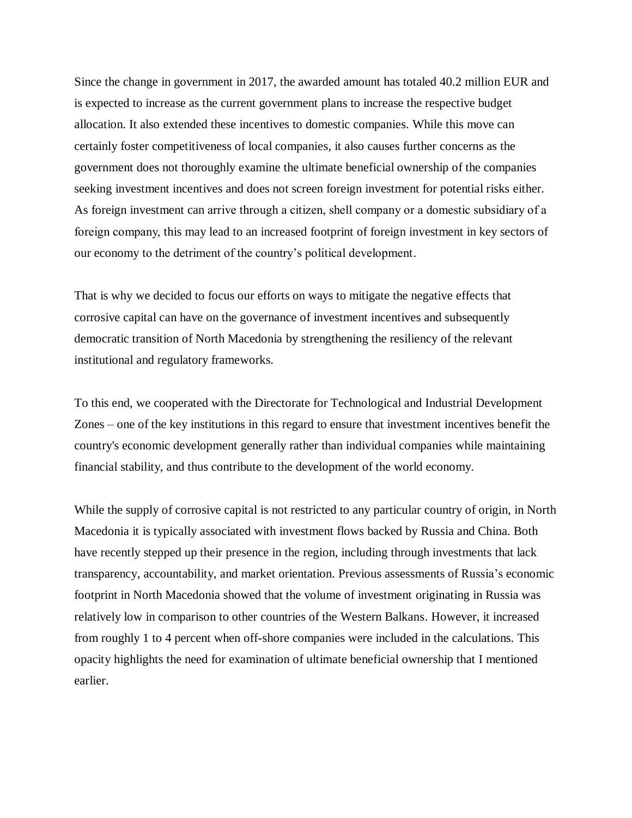Since the change in government in 2017, the awarded amount has totaled 40.2 million EUR and is expected to increase as the current government plans to increase the respective budget allocation. It also extended these incentives to domestic companies. While this move can certainly foster competitiveness of local companies, it also causes further concerns as the government does not thoroughly examine the ultimate beneficial ownership of the companies seeking investment incentives and does not screen foreign investment for potential risks either. As foreign investment can arrive through a citizen, shell company or a domestic subsidiary of a foreign company, this may lead to an increased footprint of foreign investment in key sectors of our economy to the detriment of the country's political development.

That is why we decided to focus our efforts on ways to mitigate the negative effects that corrosive capital can have on the governance of investment incentives and subsequently democratic transition of North Macedonia by strengthening the resiliency of the relevant institutional and regulatory frameworks.

To this end, we cooperated with the Directorate for Technological and Industrial Development Zones – one of the key institutions in this regard to ensure that investment incentives benefit the country's economic development generally rather than individual companies while maintaining financial stability, and thus contribute to the development of the world economy.

While the supply of corrosive capital is not restricted to any particular country of origin, in North Macedonia it is typically associated with investment flows backed by Russia and China. Both have recently stepped up their presence in the region, including through investments that lack transparency, accountability, and market orientation. Previous assessments of Russia's economic footprint in North Macedonia showed that the volume of investment originating in Russia was relatively low in comparison to other countries of the Western Balkans. However, it increased from roughly 1 to 4 percent when off-shore companies were included in the calculations. This opacity highlights the need for examination of ultimate beneficial ownership that I mentioned earlier.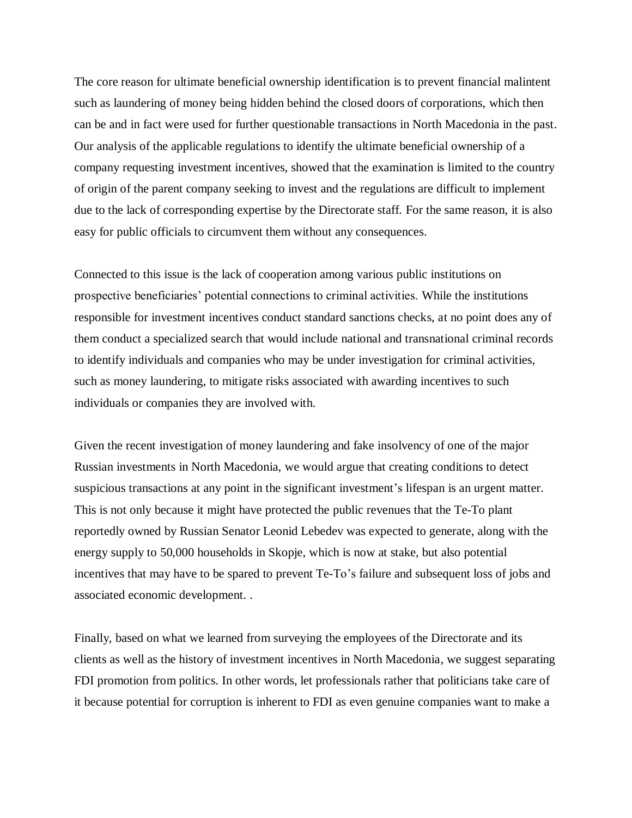The core reason for ultimate beneficial ownership identification is to prevent financial malintent such as laundering of money being hidden behind the closed doors of corporations, which then can be and in fact were used for further questionable transactions in North Macedonia in the past. Our analysis of the applicable regulations to identify the ultimate beneficial ownership of a company requesting investment incentives, showed that the examination is limited to the country of origin of the parent company seeking to invest and the regulations are difficult to implement due to the lack of corresponding expertise by the Directorate staff. For the same reason, it is also easy for public officials to circumvent them without any consequences.

Connected to this issue is the lack of cooperation among various public institutions on prospective beneficiaries' potential connections to criminal activities. While the institutions responsible for investment incentives conduct standard sanctions checks, at no point does any of them conduct a specialized search that would include national and transnational criminal records to identify individuals and companies who may be under investigation for criminal activities, such as money laundering, to mitigate risks associated with awarding incentives to such individuals or companies they are involved with.

Given the recent investigation of money laundering and fake insolvency of one of the major Russian investments in North Macedonia, we would argue that creating conditions to detect suspicious transactions at any point in the significant investment's lifespan is an urgent matter. This is not only because it might have protected the public revenues that the Te-To plant reportedly owned by Russian Senator Leonid Lebedev was expected to generate, along with the energy supply to 50,000 households in Skopje, which is now at stake, but also potential incentives that may have to be spared to prevent Te-To's failure and subsequent loss of jobs and associated economic development. .

Finally, based on what we learned from surveying the employees of the Directorate and its clients as well as the history of investment incentives in North Macedonia, we suggest separating FDI promotion from politics. In other words, let professionals rather that politicians take care of it because potential for corruption is inherent to FDI as even genuine companies want to make a